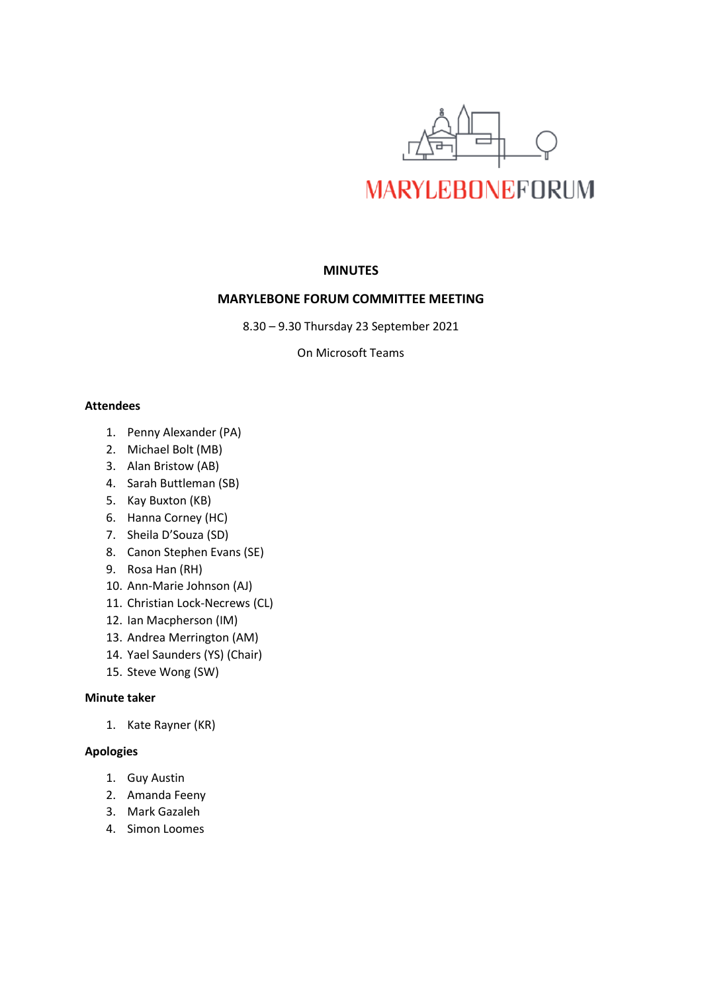

# **MINUTES**

# **MARYLEBONE FORUM COMMITTEE MEETING**

8.30 – 9.30 Thursday 23 September 2021

On Microsoft Teams

## **Attendees**

- 1. Penny Alexander (PA)
- 2. Michael Bolt (MB)
- 3. Alan Bristow (AB)
- 4. Sarah Buttleman (SB)
- 5. Kay Buxton (KB)
- 6. Hanna Corney (HC)
- 7. Sheila D'Souza (SD)
- 8. Canon Stephen Evans (SE)
- 9. Rosa Han (RH)
- 10. Ann-Marie Johnson (AJ)
- 11. Christian Lock-Necrews (CL)
- 12. Ian Macpherson (IM)
- 13. Andrea Merrington (AM)
- 14. Yael Saunders (YS) (Chair)
- 15. Steve Wong (SW)

# **Minute taker**

1. Kate Rayner (KR)

## **Apologies**

- 1. Guy Austin
- 2. Amanda Feeny
- 3. Mark Gazaleh
- 4. Simon Loomes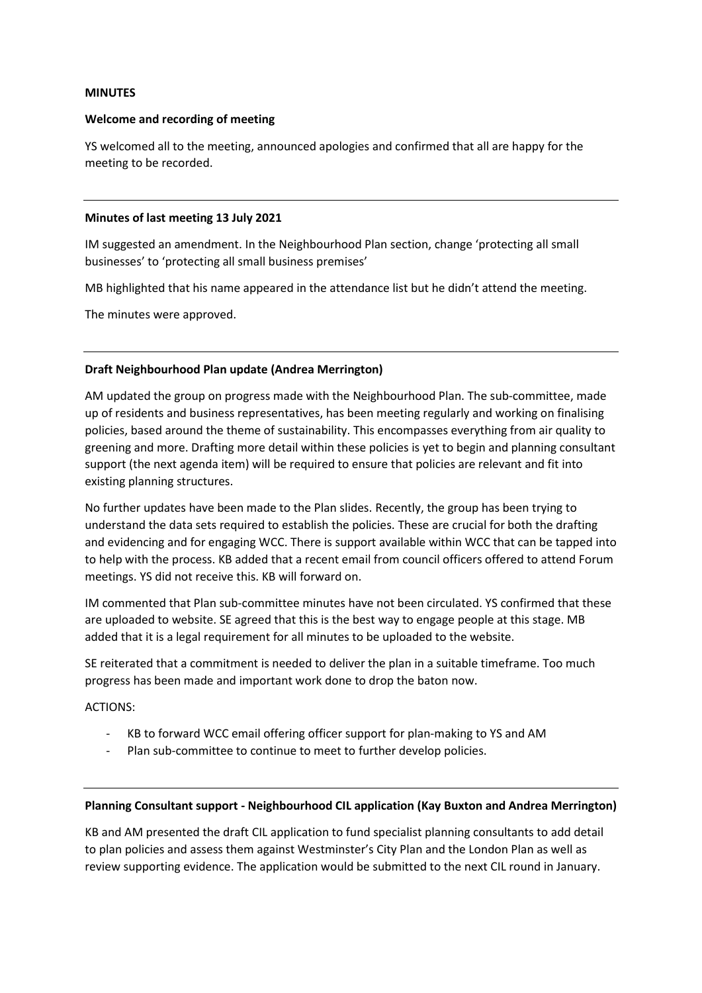#### **MINUTES**

#### **Welcome and recording of meeting**

YS welcomed all to the meeting, announced apologies and confirmed that all are happy for the meeting to be recorded.

#### **Minutes of last meeting 13 July 2021**

IM suggested an amendment. In the Neighbourhood Plan section, change 'protecting all small businesses' to 'protecting all small business premises'

MB highlighted that his name appeared in the attendance list but he didn't attend the meeting.

The minutes were approved.

#### **Draft Neighbourhood Plan update (Andrea Merrington)**

AM updated the group on progress made with the Neighbourhood Plan. The sub-committee, made up of residents and business representatives, has been meeting regularly and working on finalising policies, based around the theme of sustainability. This encompasses everything from air quality to greening and more. Drafting more detail within these policies is yet to begin and planning consultant support (the next agenda item) will be required to ensure that policies are relevant and fit into existing planning structures.

No further updates have been made to the Plan slides. Recently, the group has been trying to understand the data sets required to establish the policies. These are crucial for both the drafting and evidencing and for engaging WCC. There is support available within WCC that can be tapped into to help with the process. KB added that a recent email from council officers offered to attend Forum meetings. YS did not receive this. KB will forward on.

IM commented that Plan sub-committee minutes have not been circulated. YS confirmed that these are uploaded to website. SE agreed that this is the best way to engage people at this stage. MB added that it is a legal requirement for all minutes to be uploaded to the website.

SE reiterated that a commitment is needed to deliver the plan in a suitable timeframe. Too much progress has been made and important work done to drop the baton now.

ACTIONS:

- KB to forward WCC email offering officer support for plan-making to YS and AM
- Plan sub-committee to continue to meet to further develop policies.

#### **Planning Consultant support - Neighbourhood CIL application (Kay Buxton and Andrea Merrington)**

KB and AM presented the draft CIL application to fund specialist planning consultants to add detail to plan policies and assess them against Westminster's City Plan and the London Plan as well as review supporting evidence. The application would be submitted to the next CIL round in January.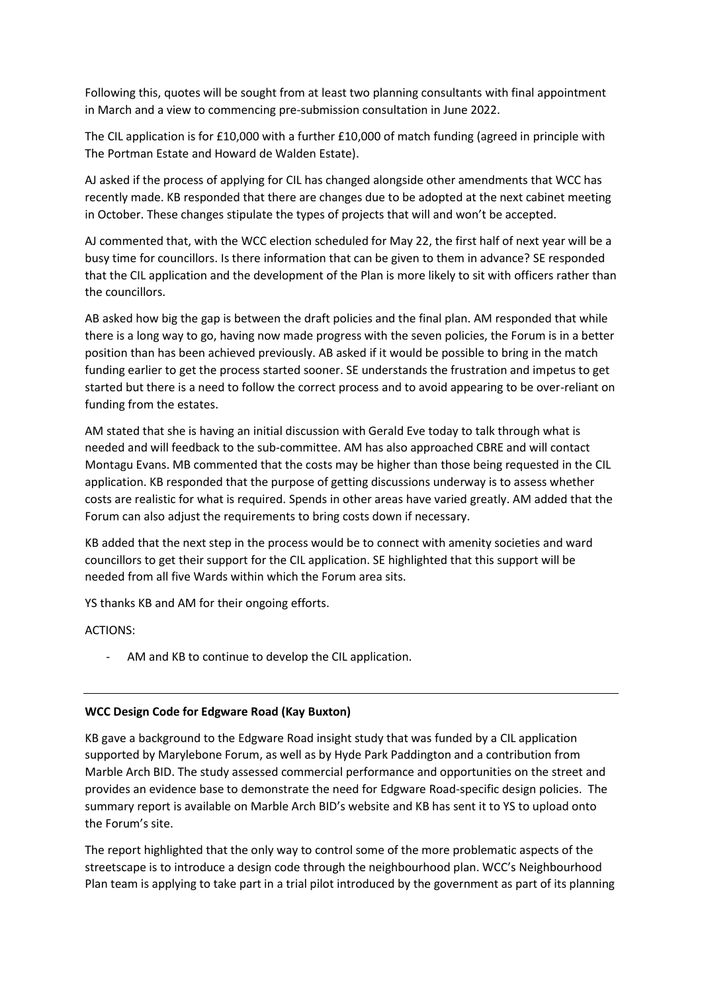Following this, quotes will be sought from at least two planning consultants with final appointment in March and a view to commencing pre-submission consultation in June 2022.

The CIL application is for £10,000 with a further £10,000 of match funding (agreed in principle with The Portman Estate and Howard de Walden Estate).

AJ asked if the process of applying for CIL has changed alongside other amendments that WCC has recently made. KB responded that there are changes due to be adopted at the next cabinet meeting in October. These changes stipulate the types of projects that will and won't be accepted.

AJ commented that, with the WCC election scheduled for May 22, the first half of next year will be a busy time for councillors. Is there information that can be given to them in advance? SE responded that the CIL application and the development of the Plan is more likely to sit with officers rather than the councillors.

AB asked how big the gap is between the draft policies and the final plan. AM responded that while there is a long way to go, having now made progress with the seven policies, the Forum is in a better position than has been achieved previously. AB asked if it would be possible to bring in the match funding earlier to get the process started sooner. SE understands the frustration and impetus to get started but there is a need to follow the correct process and to avoid appearing to be over-reliant on funding from the estates.

AM stated that she is having an initial discussion with Gerald Eve today to talk through what is needed and will feedback to the sub-committee. AM has also approached CBRE and will contact Montagu Evans. MB commented that the costs may be higher than those being requested in the CIL application. KB responded that the purpose of getting discussions underway is to assess whether costs are realistic for what is required. Spends in other areas have varied greatly. AM added that the Forum can also adjust the requirements to bring costs down if necessary.

KB added that the next step in the process would be to connect with amenity societies and ward councillors to get their support for the CIL application. SE highlighted that this support will be needed from all five Wards within which the Forum area sits.

YS thanks KB and AM for their ongoing efforts.

ACTIONS:

AM and KB to continue to develop the CIL application.

## **WCC Design Code for Edgware Road (Kay Buxton)**

KB gave a background to the Edgware Road insight study that was funded by a CIL application supported by Marylebone Forum, as well as by Hyde Park Paddington and a contribution from Marble Arch BID. The study assessed commercial performance and opportunities on the street and provides an evidence base to demonstrate the need for Edgware Road-specific design policies. The summary report is available on Marble Arch BID's website and KB has sent it to YS to upload onto the Forum's site.

The report highlighted that the only way to control some of the more problematic aspects of the streetscape is to introduce a design code through the neighbourhood plan. WCC's Neighbourhood Plan team is applying to take part in a trial pilot introduced by the government as part of its planning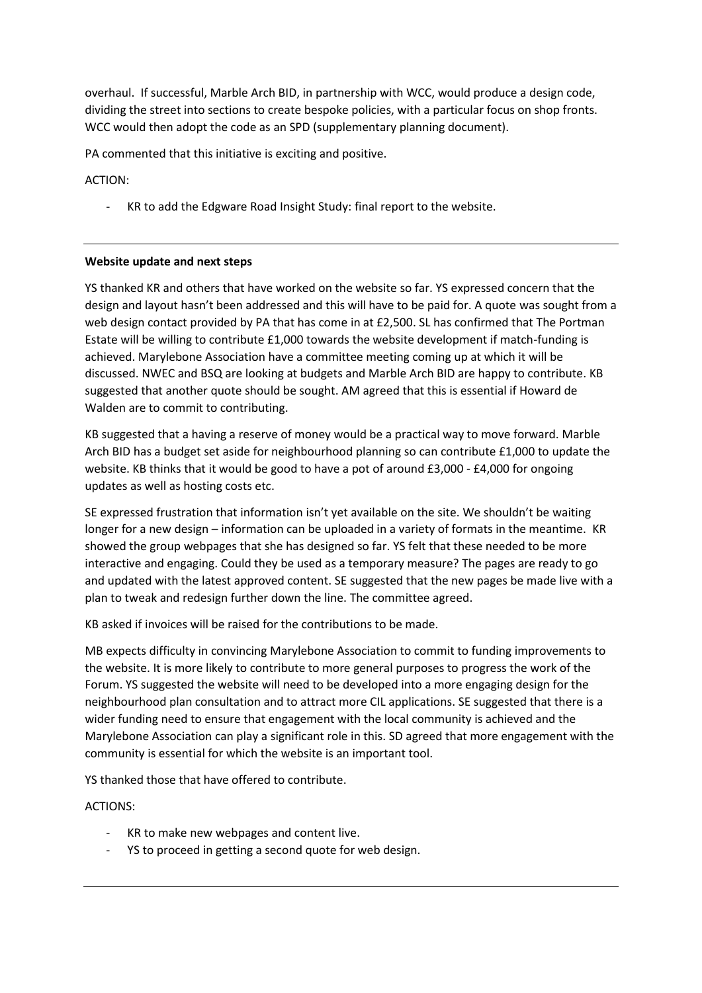overhaul. If successful, Marble Arch BID, in partnership with WCC, would produce a design code, dividing the street into sections to create bespoke policies, with a particular focus on shop fronts. WCC would then adopt the code as an SPD (supplementary planning document).

PA commented that this initiative is exciting and positive.

ACTION:

- KR to add the Edgware Road Insight Study: final report to the website.

## **Website update and next steps**

YS thanked KR and others that have worked on the website so far. YS expressed concern that the design and layout hasn't been addressed and this will have to be paid for. A quote was sought from a web design contact provided by PA that has come in at £2,500. SL has confirmed that The Portman Estate will be willing to contribute £1,000 towards the website development if match-funding is achieved. Marylebone Association have a committee meeting coming up at which it will be discussed. NWEC and BSQ are looking at budgets and Marble Arch BID are happy to contribute. KB suggested that another quote should be sought. AM agreed that this is essential if Howard de Walden are to commit to contributing.

KB suggested that a having a reserve of money would be a practical way to move forward. Marble Arch BID has a budget set aside for neighbourhood planning so can contribute £1,000 to update the website. KB thinks that it would be good to have a pot of around £3,000 - £4,000 for ongoing updates as well as hosting costs etc.

SE expressed frustration that information isn't yet available on the site. We shouldn't be waiting longer for a new design – information can be uploaded in a variety of formats in the meantime. KR showed the group webpages that she has designed so far. YS felt that these needed to be more interactive and engaging. Could they be used as a temporary measure? The pages are ready to go and updated with the latest approved content. SE suggested that the new pages be made live with a plan to tweak and redesign further down the line. The committee agreed.

KB asked if invoices will be raised for the contributions to be made.

MB expects difficulty in convincing Marylebone Association to commit to funding improvements to the website. It is more likely to contribute to more general purposes to progress the work of the Forum. YS suggested the website will need to be developed into a more engaging design for the neighbourhood plan consultation and to attract more CIL applications. SE suggested that there is a wider funding need to ensure that engagement with the local community is achieved and the Marylebone Association can play a significant role in this. SD agreed that more engagement with the community is essential for which the website is an important tool.

YS thanked those that have offered to contribute.

ACTIONS:

- KR to make new webpages and content live.
- YS to proceed in getting a second quote for web design.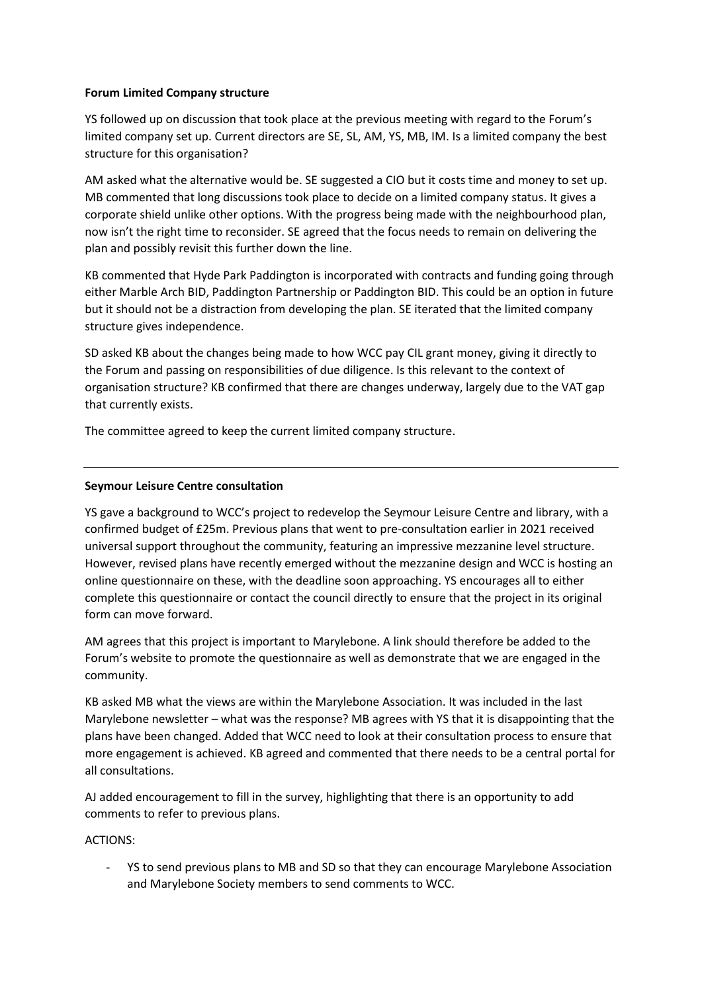## **Forum Limited Company structure**

YS followed up on discussion that took place at the previous meeting with regard to the Forum's limited company set up. Current directors are SE, SL, AM, YS, MB, IM. Is a limited company the best structure for this organisation?

AM asked what the alternative would be. SE suggested a CIO but it costs time and money to set up. MB commented that long discussions took place to decide on a limited company status. It gives a corporate shield unlike other options. With the progress being made with the neighbourhood plan, now isn't the right time to reconsider. SE agreed that the focus needs to remain on delivering the plan and possibly revisit this further down the line.

KB commented that Hyde Park Paddington is incorporated with contracts and funding going through either Marble Arch BID, Paddington Partnership or Paddington BID. This could be an option in future but it should not be a distraction from developing the plan. SE iterated that the limited company structure gives independence.

SD asked KB about the changes being made to how WCC pay CIL grant money, giving it directly to the Forum and passing on responsibilities of due diligence. Is this relevant to the context of organisation structure? KB confirmed that there are changes underway, largely due to the VAT gap that currently exists.

The committee agreed to keep the current limited company structure.

# **Seymour Leisure Centre consultation**

YS gave a background to WCC's project to redevelop the Seymour Leisure Centre and library, with a confirmed budget of £25m. Previous plans that went to pre-consultation earlier in 2021 received universal support throughout the community, featuring an impressive mezzanine level structure. However, revised plans have recently emerged without the mezzanine design and WCC is hosting an online questionnaire on these, with the deadline soon approaching. YS encourages all to either complete this questionnaire or contact the council directly to ensure that the project in its original form can move forward.

AM agrees that this project is important to Marylebone. A link should therefore be added to the Forum's website to promote the questionnaire as well as demonstrate that we are engaged in the community.

KB asked MB what the views are within the Marylebone Association. It was included in the last Marylebone newsletter – what was the response? MB agrees with YS that it is disappointing that the plans have been changed. Added that WCC need to look at their consultation process to ensure that more engagement is achieved. KB agreed and commented that there needs to be a central portal for all consultations.

AJ added encouragement to fill in the survey, highlighting that there is an opportunity to add comments to refer to previous plans.

## ACTIONS:

YS to send previous plans to MB and SD so that they can encourage Marylebone Association and Marylebone Society members to send comments to WCC.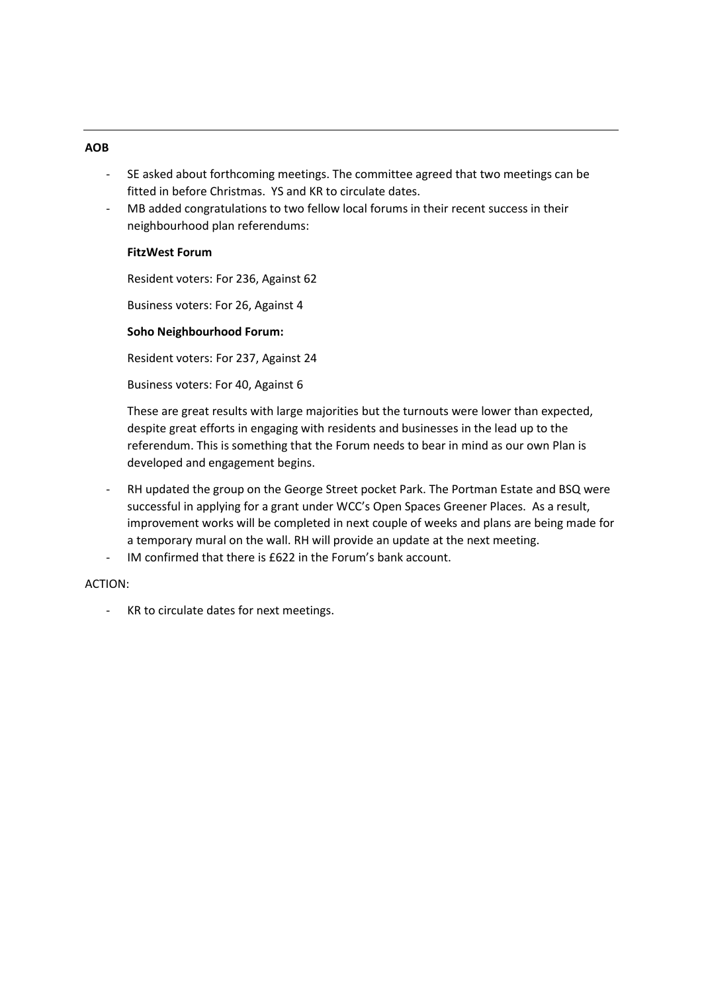## **AOB**

- SE asked about forthcoming meetings. The committee agreed that two meetings can be fitted in before Christmas. YS and KR to circulate dates.
- MB added congratulations to two fellow local forums in their recent success in their neighbourhood plan referendums:

# **FitzWest Forum**

Resident voters: For 236, Against 62

Business voters: For 26, Against 4

# **Soho Neighbourhood Forum:**

Resident voters: For 237, Against 24

Business voters: For 40, Against 6

These are great results with large majorities but the turnouts were lower than expected, despite great efforts in engaging with residents and businesses in the lead up to the referendum. This is something that the Forum needs to bear in mind as our own Plan is developed and engagement begins.

- RH updated the group on the George Street pocket Park. The Portman Estate and BSQ were successful in applying for a grant under WCC's Open Spaces Greener Places. As a result, improvement works will be completed in next couple of weeks and plans are being made for a temporary mural on the wall. RH will provide an update at the next meeting.
- IM confirmed that there is £622 in the Forum's bank account.

## ACTION:

- KR to circulate dates for next meetings.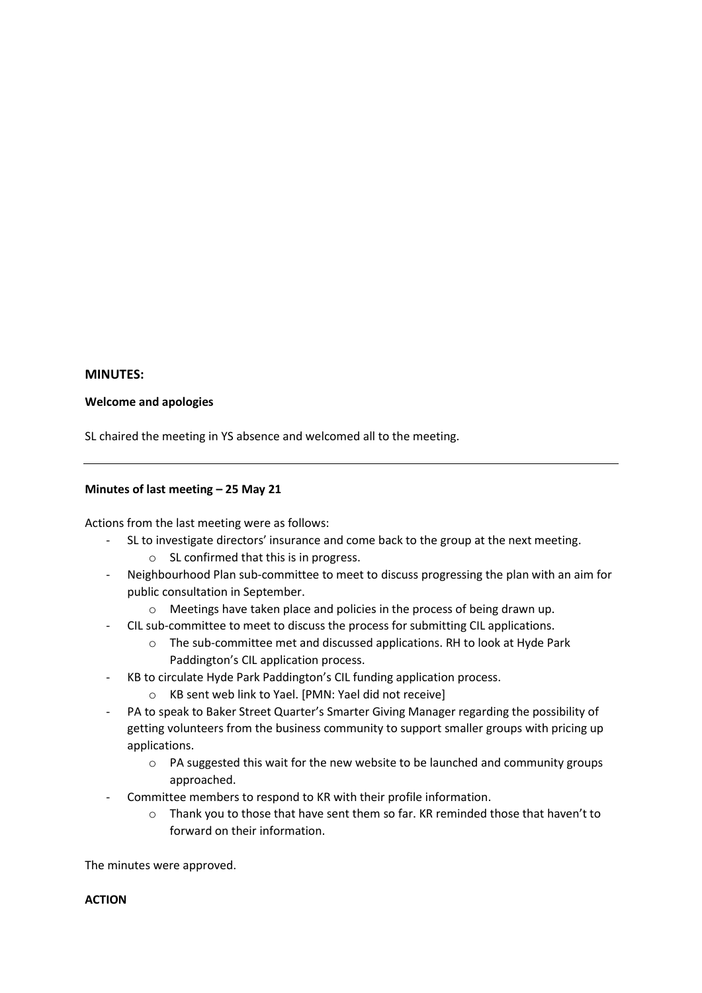## **MINUTES:**

## **Welcome and apologies**

SL chaired the meeting in YS absence and welcomed all to the meeting.

## **Minutes of last meeting – 25 May 21**

Actions from the last meeting were as follows:

- SL to investigate directors' insurance and come back to the group at the next meeting.
	- o SL confirmed that this is in progress.
- Neighbourhood Plan sub-committee to meet to discuss progressing the plan with an aim for public consultation in September.
	- o Meetings have taken place and policies in the process of being drawn up.
- CIL sub-committee to meet to discuss the process for submitting CIL applications.
	- o The sub-committee met and discussed applications. RH to look at Hyde Park Paddington's CIL application process.
- KB to circulate Hyde Park Paddington's CIL funding application process.
	- o KB sent web link to Yael. [PMN: Yael did not receive]
- PA to speak to Baker Street Quarter's Smarter Giving Manager regarding the possibility of getting volunteers from the business community to support smaller groups with pricing up applications.
	- $\circ$  PA suggested this wait for the new website to be launched and community groups approached.
- Committee members to respond to KR with their profile information.
	- $\circ$  Thank you to those that have sent them so far. KR reminded those that haven't to forward on their information.

The minutes were approved.

# **ACTION**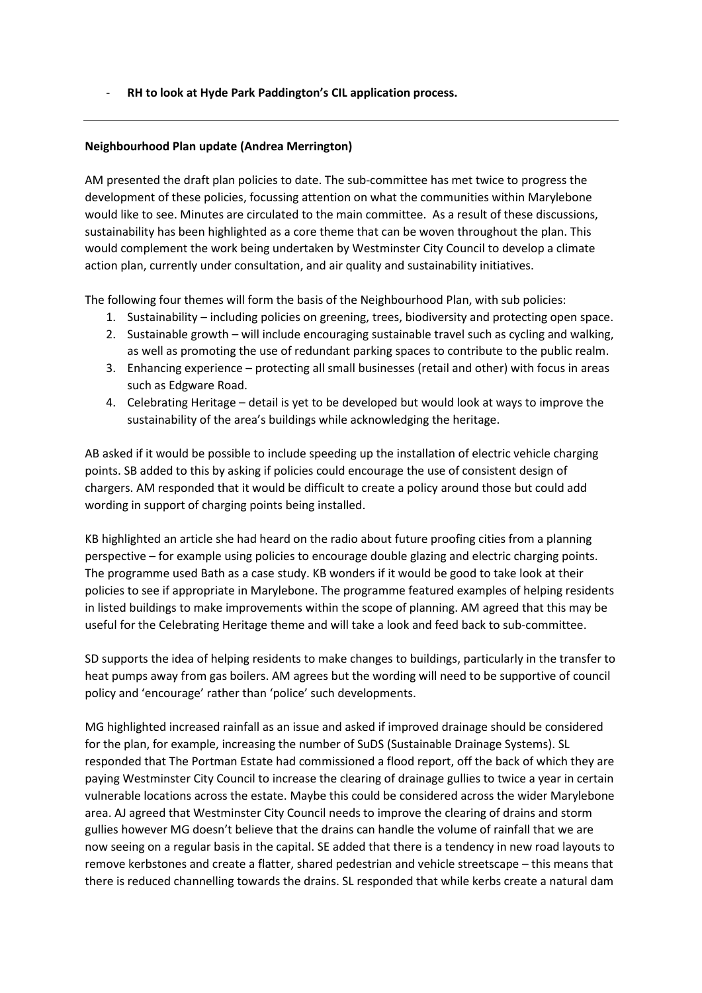- **RH to look at Hyde Park Paddington's CIL application process.** 

# **Neighbourhood Plan update (Andrea Merrington)**

AM presented the draft plan policies to date. The sub-committee has met twice to progress the development of these policies, focussing attention on what the communities within Marylebone would like to see. Minutes are circulated to the main committee. As a result of these discussions, sustainability has been highlighted as a core theme that can be woven throughout the plan. This would complement the work being undertaken by Westminster City Council to develop a climate action plan, currently under consultation, and air quality and sustainability initiatives.

The following four themes will form the basis of the Neighbourhood Plan, with sub policies:

- 1. Sustainability including policies on greening, trees, biodiversity and protecting open space.
- 2. Sustainable growth will include encouraging sustainable travel such as cycling and walking, as well as promoting the use of redundant parking spaces to contribute to the public realm.
- 3. Enhancing experience protecting all small businesses (retail and other) with focus in areas such as Edgware Road.
- 4. Celebrating Heritage detail is yet to be developed but would look at ways to improve the sustainability of the area's buildings while acknowledging the heritage.

AB asked if it would be possible to include speeding up the installation of electric vehicle charging points. SB added to this by asking if policies could encourage the use of consistent design of chargers. AM responded that it would be difficult to create a policy around those but could add wording in support of charging points being installed.

KB highlighted an article she had heard on the radio about future proofing cities from a planning perspective – for example using policies to encourage double glazing and electric charging points. The programme used Bath as a case study. KB wonders if it would be good to take look at their policies to see if appropriate in Marylebone. The programme featured examples of helping residents in listed buildings to make improvements within the scope of planning. AM agreed that this may be useful for the Celebrating Heritage theme and will take a look and feed back to sub-committee.

SD supports the idea of helping residents to make changes to buildings, particularly in the transfer to heat pumps away from gas boilers. AM agrees but the wording will need to be supportive of council policy and 'encourage' rather than 'police' such developments.

MG highlighted increased rainfall as an issue and asked if improved drainage should be considered for the plan, for example, increasing the number of SuDS (Sustainable Drainage Systems). SL responded that The Portman Estate had commissioned a flood report, off the back of which they are paying Westminster City Council to increase the clearing of drainage gullies to twice a year in certain vulnerable locations across the estate. Maybe this could be considered across the wider Marylebone area. AJ agreed that Westminster City Council needs to improve the clearing of drains and storm gullies however MG doesn't believe that the drains can handle the volume of rainfall that we are now seeing on a regular basis in the capital. SE added that there is a tendency in new road layouts to remove kerbstones and create a flatter, shared pedestrian and vehicle streetscape – this means that there is reduced channelling towards the drains. SL responded that while kerbs create a natural dam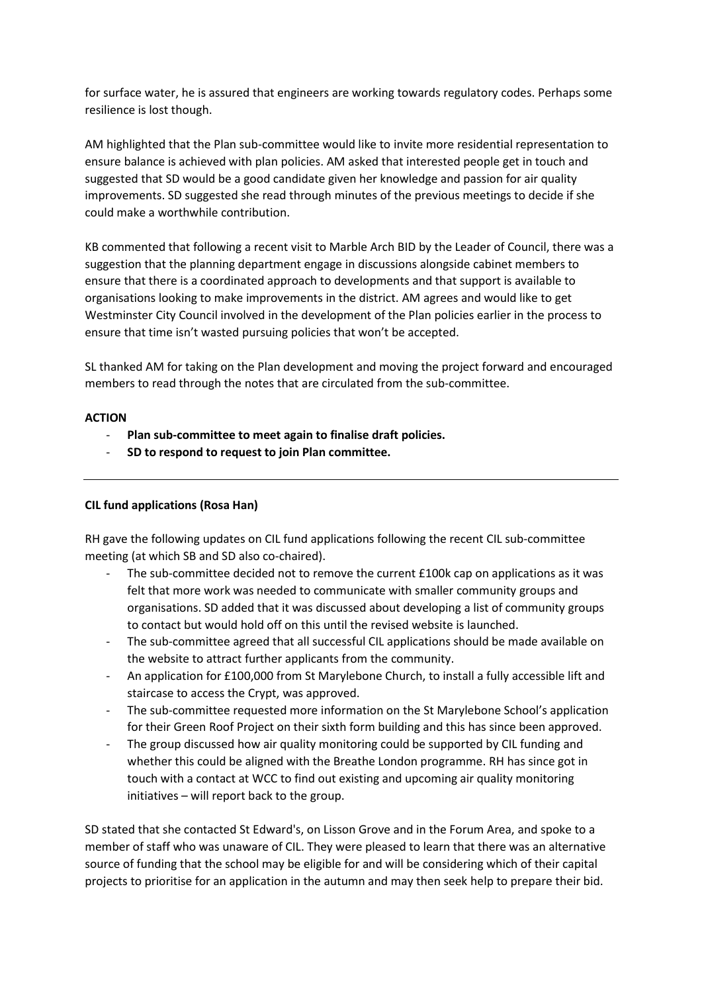for surface water, he is assured that engineers are working towards regulatory codes. Perhaps some resilience is lost though.

AM highlighted that the Plan sub-committee would like to invite more residential representation to ensure balance is achieved with plan policies. AM asked that interested people get in touch and suggested that SD would be a good candidate given her knowledge and passion for air quality improvements. SD suggested she read through minutes of the previous meetings to decide if she could make a worthwhile contribution.

KB commented that following a recent visit to Marble Arch BID by the Leader of Council, there was a suggestion that the planning department engage in discussions alongside cabinet members to ensure that there is a coordinated approach to developments and that support is available to organisations looking to make improvements in the district. AM agrees and would like to get Westminster City Council involved in the development of the Plan policies earlier in the process to ensure that time isn't wasted pursuing policies that won't be accepted.

SL thanked AM for taking on the Plan development and moving the project forward and encouraged members to read through the notes that are circulated from the sub-committee.

# **ACTION**

- **Plan sub-committee to meet again to finalise draft policies.**
- **SD to respond to request to join Plan committee.**

# **CIL fund applications (Rosa Han)**

RH gave the following updates on CIL fund applications following the recent CIL sub-committee meeting (at which SB and SD also co-chaired).

- The sub-committee decided not to remove the current  $£100k$  cap on applications as it was felt that more work was needed to communicate with smaller community groups and organisations. SD added that it was discussed about developing a list of community groups to contact but would hold off on this until the revised website is launched.
- The sub-committee agreed that all successful CIL applications should be made available on the website to attract further applicants from the community.
- An application for £100,000 from St Marylebone Church, to install a fully accessible lift and staircase to access the Crypt, was approved.
- The sub-committee requested more information on the St Marylebone School's application for their Green Roof Project on their sixth form building and this has since been approved.
- The group discussed how air quality monitoring could be supported by CIL funding and whether this could be aligned with the Breathe London programme. RH has since got in touch with a contact at WCC to find out existing and upcoming air quality monitoring initiatives – will report back to the group.

SD stated that she contacted St Edward's, on Lisson Grove and in the Forum Area, and spoke to a member of staff who was unaware of CIL. They were pleased to learn that there was an alternative source of funding that the school may be eligible for and will be considering which of their capital projects to prioritise for an application in the autumn and may then seek help to prepare their bid.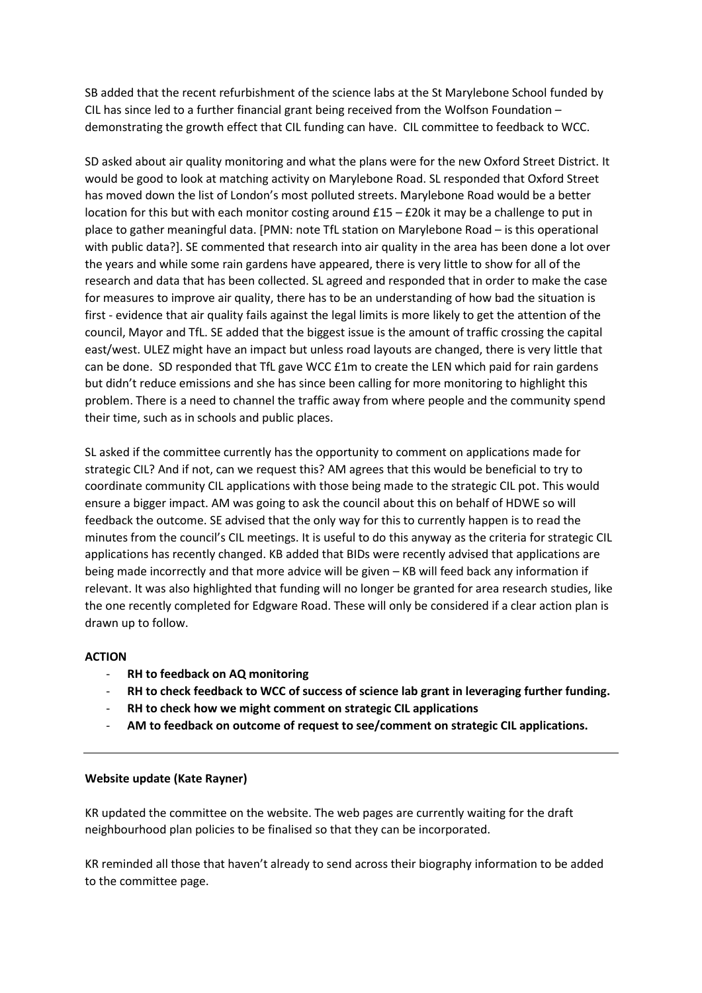SB added that the recent refurbishment of the science labs at the St Marylebone School funded by CIL has since led to a further financial grant being received from the Wolfson Foundation – demonstrating the growth effect that CIL funding can have. CIL committee to feedback to WCC.

SD asked about air quality monitoring and what the plans were for the new Oxford Street District. It would be good to look at matching activity on Marylebone Road. SL responded that Oxford Street has moved down the list of London's most polluted streets. Marylebone Road would be a better location for this but with each monitor costing around £15 – £20k it may be a challenge to put in place to gather meaningful data. [PMN: note TfL station on Marylebone Road – is this operational with public data?]. SE commented that research into air quality in the area has been done a lot over the years and while some rain gardens have appeared, there is very little to show for all of the research and data that has been collected. SL agreed and responded that in order to make the case for measures to improve air quality, there has to be an understanding of how bad the situation is first - evidence that air quality fails against the legal limits is more likely to get the attention of the council, Mayor and TfL. SE added that the biggest issue is the amount of traffic crossing the capital east/west. ULEZ might have an impact but unless road layouts are changed, there is very little that can be done. SD responded that TfL gave WCC £1m to create the LEN which paid for rain gardens but didn't reduce emissions and she has since been calling for more monitoring to highlight this problem. There is a need to channel the traffic away from where people and the community spend their time, such as in schools and public places.

SL asked if the committee currently has the opportunity to comment on applications made for strategic CIL? And if not, can we request this? AM agrees that this would be beneficial to try to coordinate community CIL applications with those being made to the strategic CIL pot. This would ensure a bigger impact. AM was going to ask the council about this on behalf of HDWE so will feedback the outcome. SE advised that the only way for this to currently happen is to read the minutes from the council's CIL meetings. It is useful to do this anyway as the criteria for strategic CIL applications has recently changed. KB added that BIDs were recently advised that applications are being made incorrectly and that more advice will be given – KB will feed back any information if relevant. It was also highlighted that funding will no longer be granted for area research studies, like the one recently completed for Edgware Road. These will only be considered if a clear action plan is drawn up to follow.

# **ACTION**

- **RH to feedback on AQ monitoring**
- **RH to check feedback to WCC of success of science lab grant in leveraging further funding.**
- **RH to check how we might comment on strategic CIL applications**
- **AM to feedback on outcome of request to see/comment on strategic CIL applications.**

## **Website update (Kate Rayner)**

KR updated the committee on the website. The web pages are currently waiting for the draft neighbourhood plan policies to be finalised so that they can be incorporated.

KR reminded all those that haven't already to send across their biography information to be added to the committee page.